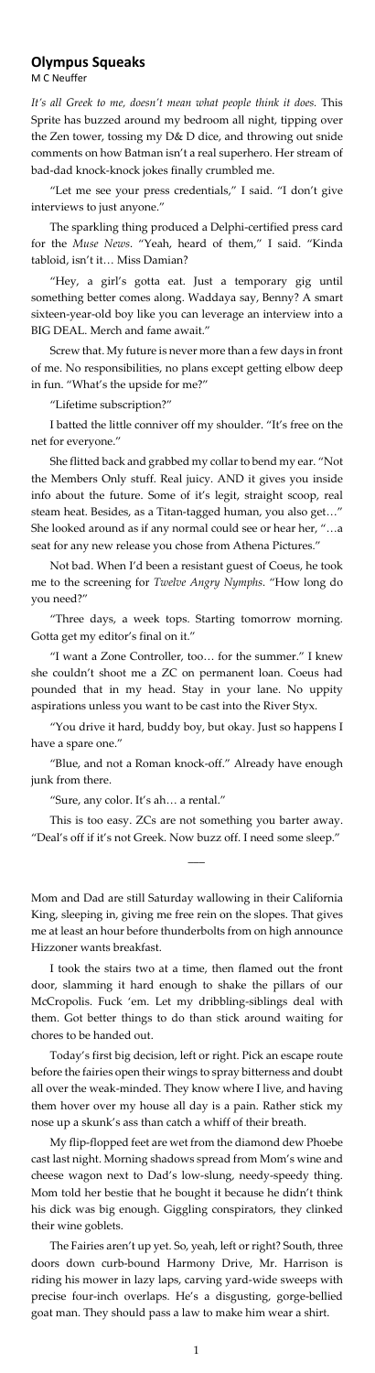## **Olympus Squeaks**

M C Neuffer

*It's all Greek to me, doesn't mean what people think it does.* This Sprite has buzzed around my bedroom all night, tipping over the Zen tower, tossing my D& D dice, and throwing out snide comments on how Batman isn't a real superhero. Her stream of bad-dad knock-knock jokes finally crumbled me.

"Let me see your press credentials," I said. "I don't give interviews to just anyone."

The sparkling thing produced a Delphi-certified press card for the *Muse News*. "Yeah, heard of them," I said. "Kinda tabloid, isn't it… Miss Damian?

"Hey, a girl's gotta eat. Just a temporary gig until something better comes along. Waddaya say, Benny? A smart sixteen-year-old boy like you can leverage an interview into a BIG DEAL. Merch and fame await."

She flitted back and grabbed my collar to bend my ear. "Not the Members Only stuff. Real juicy. AND it gives you inside info about the future. Some of it's legit, straight scoop, real steam heat. Besides, as a Titan-tagged human, you also get…" She looked around as if any normal could see or hear her, "…a seat for any new release you chose from Athena Pictures."

Screw that. My future is never more than a few days in front of me. No responsibilities, no plans except getting elbow deep in fun. "What's the upside for me?"

"Lifetime subscription?"

I batted the little conniver off my shoulder. "It's free on the net for everyone."

Not bad. When I'd been a resistant guest of Coeus, he took me to the screening for *Twelve Angry Nymphs*. "How long do you need?"

"Three days, a week tops. Starting tomorrow morning. Gotta get my editor's final on it."

"I want a Zone Controller, too… for the summer." I knew she couldn't shoot me a ZC on permanent loan. Coeus had pounded that in my head. Stay in your lane. No uppity aspirations unless you want to be cast into the River Styx.

"You drive it hard, buddy boy, but okay. Just so happens I have a spare one."

"Blue, and not a Roman knock-off." Already have enough

junk from there.

"Sure, any color. It's ah… a rental."

This is too easy. ZCs are not something you barter away. "Deal's off if it's not Greek. Now buzz off. I need some sleep."

 $\overline{\phantom{a}}$ 

Mom and Dad are still Saturday wallowing in their California King, sleeping in, giving me free rein on the slopes. That gives me at least an hour before thunderbolts from on high announce Hizzoner wants breakfast.

I took the stairs two at a time, then flamed out the front door, slamming it hard enough to shake the pillars of our McCropolis. Fuck 'em. Let my dribbling-siblings deal with them. Got better things to do than stick around waiting for chores to be handed out.

Today's first big decision, left or right. Pick an escape route before the fairies open their wings to spray bitterness and doubt all over the weak-minded. They know where I live, and having them hover over my house all day is a pain. Rather stick my nose up a skunk's ass than catch a whiff of their breath.

My flip-flopped feet are wet from the diamond dew Phoebe cast last night. Morning shadows spread from Mom's wine and cheese wagon next to Dad's low-slung, needy-speedy thing. Mom told her bestie that he bought it because he didn't think his dick was big enough. Giggling conspirators, they clinked their wine goblets.

The Fairies aren't up yet. So, yeah, left or right? South, three doors down curb-bound Harmony Drive, Mr. Harrison is riding his mower in lazy laps, carving yard-wide sweeps with precise four-inch overlaps. He's a disgusting, gorge-bellied goat man. They should pass a law to make him wear a shirt.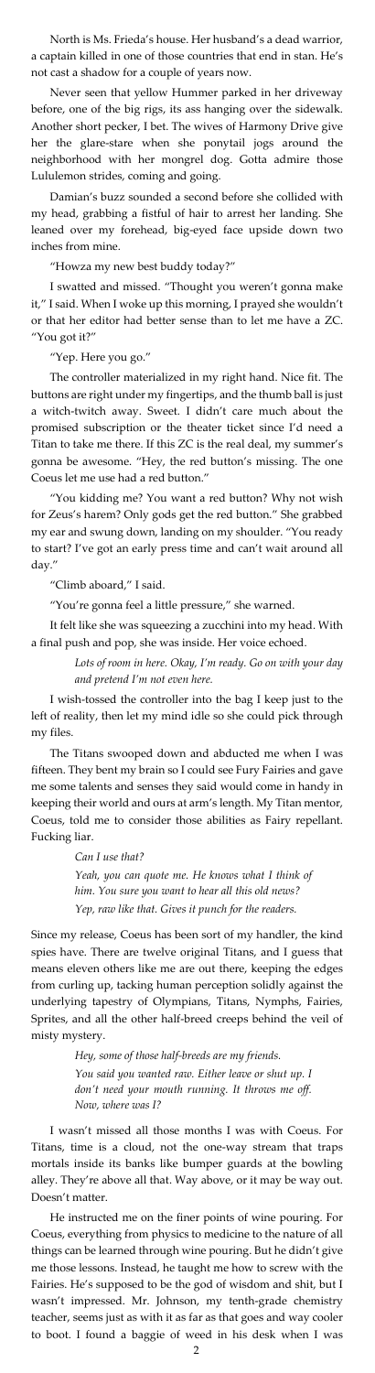North is Ms. Frieda's house. Her husband's a dead warrior, a captain killed in one of those countries that end in stan. He's not cast a shadow for a couple of years now.

Never seen that yellow Hummer parked in her driveway before, one of the big rigs, its ass hanging over the sidewalk. Another short pecker, I bet. The wives of Harmony Drive give her the glare-stare when she ponytail jogs around the neighborhood with her mongrel dog. Gotta admire those Lululemon strides, coming and going.

Damian's buzz sounded a second before she collided with my head, grabbing a fistful of hair to arrest her landing. She leaned over my forehead, big-eyed face upside down two inches from mine.

"Howza my new best buddy today?"

I swatted and missed. "Thought you weren't gonna make it," I said. When I woke up this morning, I prayed she wouldn't or that her editor had better sense than to let me have a ZC. "You got it?"

"Yep. Here you go."

The controller materialized in my right hand. Nice fit. The buttons are right under my fingertips, and the thumb ball is just a witch-twitch away. Sweet. I didn't care much about the promised subscription or the theater ticket since I'd need a Titan to take me there. If this ZC is the real deal, my summer's gonna be awesome. "Hey, the red button's missing. The one Coeus let me use had a red button."

"You kidding me? You want a red button? Why not wish for Zeus's harem? Only gods get the red button." She grabbed my ear and swung down, landing on my shoulder. "You ready to start? I've got an early press time and can't wait around all day."

"Climb aboard," I said.

"You're gonna feel a little pressure," she warned.

It felt like she was squeezing a zucchini into my head. With a final push and pop, she was inside. Her voice echoed.

> *Lots of room in here. Okay, I'm ready. Go on with your day and pretend I'm not even here.*

I wish-tossed the controller into the bag I keep just to the left of reality, then let my mind idle so she could pick through my files.

The Titans swooped down and abducted me when I was fifteen. They bent my brain so I could see Fury Fairies and gave

me some talents and senses they said would come in handy in keeping their world and ours at arm's length. My Titan mentor, Coeus, told me to consider those abilities as Fairy repellant. Fucking liar.

*Can I use that?*

*Yeah, you can quote me. He knows what I think of him. You sure you want to hear all this old news? Yep, raw like that. Gives it punch for the readers.*

Since my release, Coeus has been sort of my handler, the kind spies have. There are twelve original Titans, and I guess that means eleven others like me are out there, keeping the edges from curling up, tacking human perception solidly against the underlying tapestry of Olympians, Titans, Nymphs, Fairies, Sprites, and all the other half-breed creeps behind the veil of misty mystery.

> *Hey, some of those half-breeds are my friends. You said you wanted raw. Either leave or shut up. I don't need your mouth running. It throws me off. Now, where was I?*

I wasn't missed all those months I was with Coeus. For Titans, time is a cloud, not the one-way stream that traps mortals inside its banks like bumper guards at the bowling alley. They're above all that. Way above, or it may be way out. Doesn't matter.

He instructed me on the finer points of wine pouring. For Coeus, everything from physics to medicine to the nature of all things can be learned through wine pouring. But he didn't give me those lessons. Instead, he taught me how to screw with the Fairies. He's supposed to be the god of wisdom and shit, but I wasn't impressed. Mr. Johnson, my tenth-grade chemistry teacher, seems just as with it as far as that goes and way cooler to boot. I found a baggie of weed in his desk when I was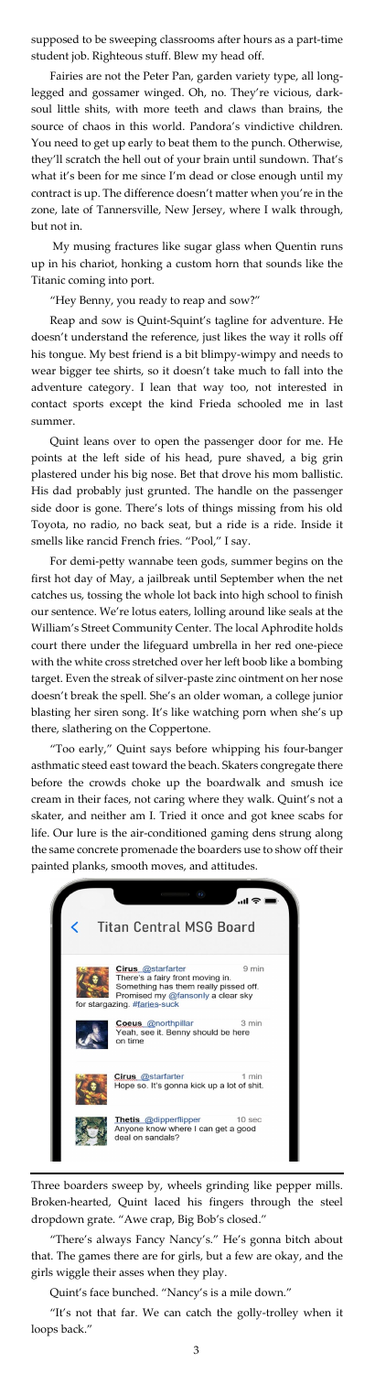supposed to be sweeping classrooms after hours as a part-time student job. Righteous stuff. Blew my head off.

Fairies are not the Peter Pan, garden variety type, all longlegged and gossamer winged. Oh, no. They're vicious, darksoul little shits, with more teeth and claws than brains, the source of chaos in this world. Pandora's vindictive children. You need to get up early to beat them to the punch. Otherwise, they'll scratch the hell out of your brain until sundown. That's what it's been for me since I'm dead or close enough until my contract is up. The difference doesn't matter when you're in the zone, late of Tannersville, New Jersey, where I walk through, but not in.

My musing fractures like sugar glass when Quentin runs up in his chariot, honking a custom horn that sounds like the Titanic coming into port.

"Hey Benny, you ready to reap and sow?"

Reap and sow is Quint-Squint's tagline for adventure. He doesn't understand the reference, just likes the way it rolls off his tongue. My best friend is a bit blimpy-wimpy and needs to wear bigger tee shirts, so it doesn't take much to fall into the adventure category. I lean that way too, not interested in contact sports except the kind Frieda schooled me in last summer.

Quint leans over to open the passenger door for me. He points at the left side of his head, pure shaved, a big grin plastered under his big nose. Bet that drove his mom ballistic. His dad probably just grunted. The handle on the passenger side door is gone. There's lots of things missing from his old Toyota, no radio, no back seat, but a ride is a ride. Inside it smells like rancid French fries. "Pool," I say.

For demi-petty wannabe teen gods, summer begins on the first hot day of May, a jailbreak until September when the net catches us, tossing the whole lot back into high school to finish our sentence. We're lotus eaters, lolling around like seals at the William's Street Community Center. The local Aphrodite holds court there under the lifeguard umbrella in her red one-piece with the white cross stretched over her left boob like a bombing target. Even the streak of silver-paste zinc ointment on her nose doesn't break the spell. She's an older woman, a college junior blasting her siren song. It's like watching porn when she's up there, slathering on the Coppertone.

"Too early," Quint says before whipping his four-banger asthmatic steed east toward the beach. Skaters congregate there before the crowds choke up the boardwalk and smush ice cream in their faces, not caring where they walk. Quint's not a skater, and neither am I. Tried it once and got knee scabs for life. Our lure is the air-conditioned gaming dens strung along the same concrete promenade the boarders use to show off their painted planks, smooth moves, and attitudes.



Three boarders sweep by, wheels grinding like pepper mills. Broken-hearted, Quint laced his fingers through the steel dropdown grate. "Awe crap, Big Bob's closed."

"There's always Fancy Nancy's." He's gonna bitch about that. The games there are for girls, but a few are okay, and the girls wiggle their asses when they play.

Quint's face bunched. "Nancy's is a mile down."

"It's not that far. We can catch the golly-trolley when it loops back."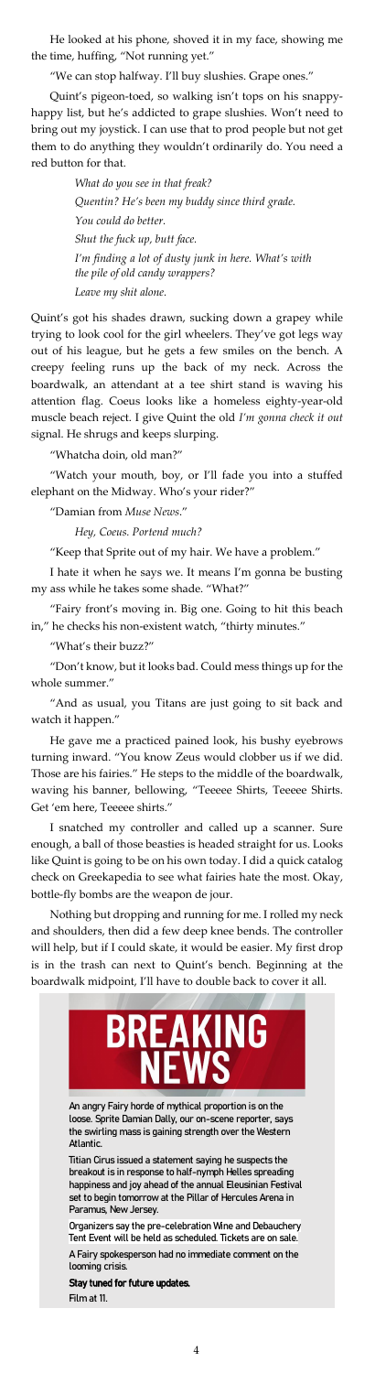He looked at his phone, shoved it in my face, showing me the time, huffing, "Not running yet."

"We can stop halfway. I'll buy slushies. Grape ones."

Quint's pigeon-toed, so walking isn't tops on his snappyhappy list, but he's addicted to grape slushies. Won't need to bring out my joystick. I can use that to prod people but not get them to do anything they wouldn't ordinarily do. You need a red button for that.

> *What do you see in that freak? Quentin? He's been my buddy since third grade. You could do better. Shut the fuck up, butt face. I'm finding a lot of dusty junk in here. What's with the pile of old candy wrappers? Leave my shit alone.*

Quint's got his shades drawn, sucking down a grapey while trying to look cool for the girl wheelers. They've got legs way out of his league, but he gets a few smiles on the bench. A creepy feeling runs up the back of my neck. Across the boardwalk, an attendant at a tee shirt stand is waving his attention flag. Coeus looks like a homeless eighty-year-old muscle beach reject. I give Quint the old *I'm gonna check it out*  signal. He shrugs and keeps slurping.

"Whatcha doin, old man?"

"Watch your mouth, boy, or I'll fade you into a stuffed elephant on the Midway. Who's your rider?"

"Damian from *Muse News*."

*Hey, Coeus. Portend much?*

"Keep that Sprite out of my hair. We have a problem."

I hate it when he says we. It means I'm gonna be busting my ass while he takes some shade. "What?"

"Fairy front's moving in. Big one. Going to hit this beach in," he checks his non-existent watch, "thirty minutes."

"What's their buzz?"

"Don't know, but it looks bad. Could mess things up for the whole summer."

"And as usual, you Titans are just going to sit back and watch it happen."

He gave me a practiced pained look, his bushy eyebrows turning inward. "You know Zeus would clobber us if we did. Those are his fairies." He steps to the middle of the boardwalk,

waving his banner, bellowing, "Teeeee Shirts, Teeeee Shirts. Get 'em here, Teeeee shirts."

I snatched my controller and called up a scanner. Sure enough, a ball of those beasties is headed straight for us. Looks like Quint is going to be on his own today. I did a quick catalog check on Greekapedia to see what fairies hate the most. Okay, bottle-fly bombs are the weapon de jour.

Nothing but dropping and running for me. I rolled my neck and shoulders, then did a few deep knee bends. The controller will help, but if I could skate, it would be easier. My first drop is in the trash can next to Quint's bench. Beginning at the boardwalk midpoint, I'll have to double back to cover it all.



An angry Fairy horde of mythical proportion is on the loose. Sprite Damian Dally, our on-scene reporter, says the swirling mass is gaining strength over the Western Atlantic.

Titian Cirus issued a statement saying he suspects the breakout is in response to half-nymph Helles spreading happiness and joy ahead of the annual Eleusinian Festival set to begin tomorrow at the Pillar of Hercules Arena in Paramus, New Jersey.

Organizers say the pre-celebration Wine and Debauchery Tent Event will be held as scheduled. Tickets are on sale.

A Fairy spokesperson had no immediate comment on the looming crisis.

## Stay tuned for future updates.

Film at 11.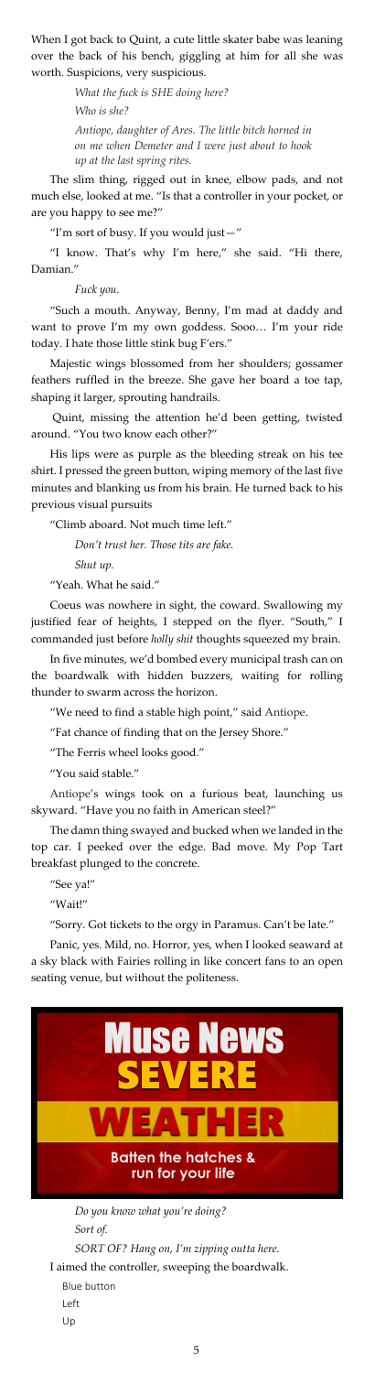When I got back to Quint, a cute little skater babe was leaning over the back of his bench, giggling at him for all she was worth. Suspicions, very suspicious.

> *What the fuck is SHE doing here? Who is she? Antiope, daughter of Ares. The little bitch horned in on me when Demeter and I were just about to hook up at the last spring rites.*

The slim thing, rigged out in knee, elbow pads, and not much else, looked at me. "Is that a controller in your pocket, or are you happy to see me?"

"I'm sort of busy. If you would just—"

"I know. That's why I'm here," she said. "Hi there, Damian."

*Fuck you.*

"Such a mouth. Anyway, Benny, I'm mad at daddy and want to prove I'm my own goddess. Sooo… I'm your ride today. I hate those little stink bug F'ers."

Majestic wings blossomed from her shoulders; gossamer feathers ruffled in the breeze. She gave her board a toe tap, shaping it larger, sprouting handrails.

Quint, missing the attention he'd been getting, twisted around. "You two know each other?"

His lips were as purple as the bleeding streak on his tee shirt. I pressed the green button, wiping memory of the last five minutes and blanking us from his brain. He turned back to his previous visual pursuits

"Climb aboard. Not much time left."

*Don't trust her. Those tits are fake. Shut up.*

"Yeah. What he said."

Coeus was nowhere in sight, the coward. Swallowing my justified fear of heights, I stepped on the flyer. "South," I commanded just before *holly shit* thoughts squeezed my brain.

In five minutes, we'd bombed every municipal trash can on the boardwalk with hidden buzzers, waiting for rolling thunder to swarm across the horizon.

"We need to find a stable high point," said Antiope.

"Fat chance of finding that on the Jersey Shore."

"The Ferris wheel looks good."

"You said stable."

Antiope's wings took on a furious beat, launching us skyward. "Have you no faith in American steel?"

The damn thing swayed and bucked when we landed in the top car. I peeked over the edge. Bad move. My Pop Tart breakfast plunged to the concrete.

"See ya!"

"Wait!"

"Sorry. Got tickets to the orgy in Paramus. Can't be late."

Panic, yes. Mild, no. Horror, yes, when I looked seaward at a sky black with Fairies rolling in like concert fans to an open seating venue, but without the politeness.



*Do you know what you're doing? Sort of. SORT OF? Hang on, I'm zipping outta here.* I aimed the controller, sweeping the boardwalk. Blue button Left

Up